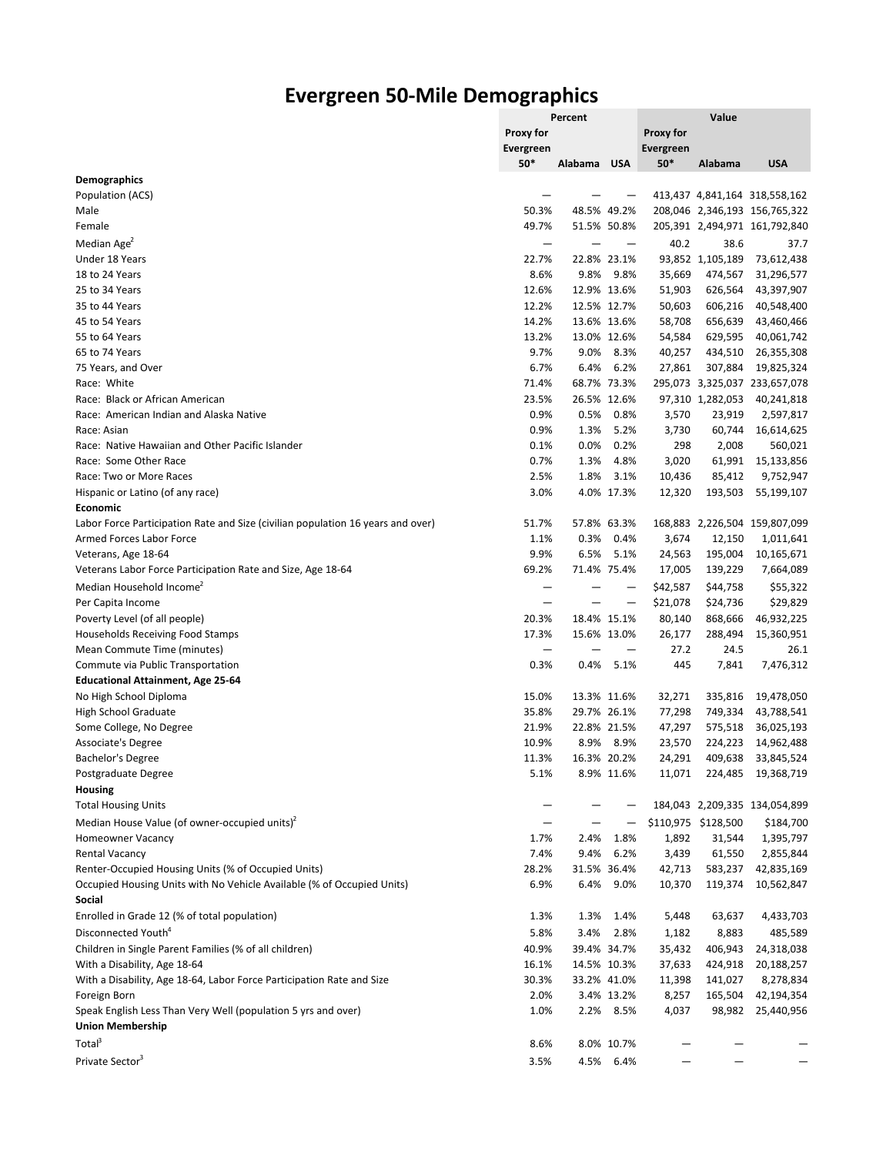## **Evergreen 50-Mile Demographics**

|                                                                                 | Percent                  |             |             | Value            |                     |                               |  |
|---------------------------------------------------------------------------------|--------------------------|-------------|-------------|------------------|---------------------|-------------------------------|--|
|                                                                                 | Proxy for                |             |             | Proxy for        |                     |                               |  |
|                                                                                 | <b>Evergreen</b>         |             |             | <b>Evergreen</b> |                     |                               |  |
|                                                                                 | $50*$                    | Alabama     | <b>USA</b>  | 50*              | Alabama             | <b>USA</b>                    |  |
| <b>Demographics</b>                                                             |                          |             |             |                  |                     |                               |  |
| Population (ACS)                                                                |                          |             |             |                  |                     | 413,437 4,841,164 318,558,162 |  |
| Male                                                                            | 50.3%                    | 48.5%       | 49.2%       |                  |                     | 208,046 2,346,193 156,765,322 |  |
| Female                                                                          | 49.7%                    | 51.5% 50.8% |             |                  |                     | 205,391 2,494,971 161,792,840 |  |
| Median Age <sup>2</sup>                                                         | -                        |             |             | 40.2             | 38.6                | 37.7                          |  |
| Under 18 Years                                                                  | 22.7%                    | 22.8% 23.1% |             |                  | 93,852 1,105,189    | 73,612,438                    |  |
| 18 to 24 Years                                                                  | 8.6%                     | 9.8%        | 9.8%        | 35,669           | 474,567             | 31,296,577                    |  |
|                                                                                 |                          |             |             |                  |                     |                               |  |
| 25 to 34 Years                                                                  | 12.6%                    | 12.9% 13.6% |             | 51,903           | 626,564             | 43,397,907                    |  |
| 35 to 44 Years                                                                  | 12.2%                    | 12.5% 12.7% |             | 50,603           | 606,216             | 40,548,400                    |  |
| 45 to 54 Years                                                                  | 14.2%                    | 13.6% 13.6% |             | 58,708           | 656,639             | 43,460,466                    |  |
| 55 to 64 Years                                                                  | 13.2%                    | 13.0% 12.6% |             | 54,584           | 629,595             | 40,061,742                    |  |
| 65 to 74 Years                                                                  | 9.7%                     | 9.0%        | 8.3%        | 40,257           | 434,510             | 26,355,308                    |  |
| 75 Years, and Over                                                              | 6.7%                     | 6.4%        | 6.2%        | 27,861           | 307,884             | 19,825,324                    |  |
| Race: White                                                                     | 71.4%                    | 68.7% 73.3% |             |                  |                     | 295,073 3,325,037 233,657,078 |  |
| Race: Black or African American                                                 | 23.5%                    | 26.5% 12.6% |             |                  | 97,310 1,282,053    | 40,241,818                    |  |
| Race: American Indian and Alaska Native                                         | 0.9%                     | 0.5%        | 0.8%        | 3,570            | 23,919              | 2,597,817                     |  |
| Race: Asian                                                                     | 0.9%                     | 1.3%        | 5.2%        | 3,730            | 60,744              | 16,614,625                    |  |
| Race: Native Hawaiian and Other Pacific Islander                                | 0.1%                     | 0.0%        | 0.2%        | 298              | 2,008               | 560,021                       |  |
| Race: Some Other Race                                                           | 0.7%                     | 1.3%        | 4.8%        | 3,020            | 61,991              | 15,133,856                    |  |
| Race: Two or More Races                                                         | 2.5%                     | 1.8%        | 3.1%        | 10,436           | 85,412              | 9,752,947                     |  |
| Hispanic or Latino (of any race)                                                | 3.0%                     |             | 4.0% 17.3%  | 12,320           | 193,503             | 55,199,107                    |  |
| Economic                                                                        |                          |             |             |                  |                     |                               |  |
| Labor Force Participation Rate and Size (civilian population 16 years and over) | 51.7%                    | 57.8% 63.3% |             |                  |                     | 168,883 2,226,504 159,807,099 |  |
| Armed Forces Labor Force                                                        | 1.1%                     | 0.3%        | 0.4%        | 3,674            | 12,150              | 1,011,641                     |  |
| Veterans, Age 18-64                                                             | 9.9%                     | 6.5%        | 5.1%        | 24,563           | 195,004             | 10,165,671                    |  |
| Veterans Labor Force Participation Rate and Size, Age 18-64                     | 69.2%                    | 71.4% 75.4% |             | 17,005           | 139,229             | 7,664,089                     |  |
| Median Household Income <sup>2</sup>                                            |                          |             |             | \$42,587         | \$44,758            | \$55,322                      |  |
| Per Capita Income                                                               | $\overline{\phantom{0}}$ |             |             | \$21,078         | \$24,736            | \$29,829                      |  |
| Poverty Level (of all people)                                                   | 20.3%                    | 18.4% 15.1% |             | 80,140           | 868,666             | 46,932,225                    |  |
| Households Receiving Food Stamps                                                | 17.3%                    | 15.6% 13.0% |             | 26,177           | 288,494             | 15,360,951                    |  |
| Mean Commute Time (minutes)                                                     | —                        |             |             | 27.2             | 24.5                | 26.1                          |  |
|                                                                                 | 0.3%                     | 0.4%        | 5.1%        | 445              |                     |                               |  |
| Commute via Public Transportation                                               |                          |             |             |                  | 7,841               | 7,476,312                     |  |
| <b>Educational Attainment, Age 25-64</b>                                        |                          |             |             |                  |                     |                               |  |
| No High School Diploma                                                          | 15.0%                    | 13.3% 11.6% |             | 32,271           | 335,816             | 19,478,050                    |  |
| <b>High School Graduate</b>                                                     | 35.8%                    | 29.7% 26.1% |             | 77,298           | 749,334             | 43,788,541                    |  |
| Some College, No Degree                                                         | 21.9%                    | 22.8% 21.5% |             | 47,297           | 575,518             | 36,025,193                    |  |
| Associate's Degree                                                              | 10.9%                    | 8.9%        | 8.9%        | 23,570           | 224,223             | 14,962,488                    |  |
| Bachelor's Degree                                                               | 11.3%                    | 16.3% 20.2% |             | 24,291           | 409,638             | 33,845,524                    |  |
| Postgraduate Degree                                                             | 5.1%                     |             | 8.9% 11.6%  | 11,071           | 224,485             | 19,368,719                    |  |
| <b>Housing</b>                                                                  |                          |             |             |                  |                     |                               |  |
| <b>Total Housing Units</b>                                                      |                          |             |             |                  |                     | 184,043 2,209,335 134,054,899 |  |
| Median House Value (of owner-occupied units) <sup>2</sup>                       |                          |             |             |                  | \$110,975 \$128,500 | \$184,700                     |  |
| <b>Homeowner Vacancy</b>                                                        | 1.7%                     | 2.4%        | 1.8%        | 1,892            | 31,544              | 1,395,797                     |  |
| <b>Rental Vacancy</b>                                                           | 7.4%                     | 9.4%        | 6.2%        | 3,439            | 61,550              | 2,855,844                     |  |
| Renter-Occupied Housing Units (% of Occupied Units)                             | 28.2%                    |             | 31.5% 36.4% | 42,713           | 583,237             | 42,835,169                    |  |
| Occupied Housing Units with No Vehicle Available (% of Occupied Units)          | 6.9%                     | 6.4%        | 9.0%        | 10,370           | 119,374             | 10,562,847                    |  |
| Social                                                                          |                          |             |             |                  |                     |                               |  |
| Enrolled in Grade 12 (% of total population)                                    | 1.3%                     | 1.3%        | 1.4%        | 5,448            | 63,637              | 4,433,703                     |  |
| Disconnected Youth <sup>4</sup>                                                 | 5.8%                     | 3.4%        | 2.8%        | 1,182            | 8,883               | 485,589                       |  |
| Children in Single Parent Families (% of all children)                          | 40.9%                    | 39.4% 34.7% |             | 35,432           | 406,943             | 24,318,038                    |  |
| With a Disability, Age 18-64                                                    | 16.1%                    |             | 14.5% 10.3% | 37,633           | 424,918             | 20,188,257                    |  |
|                                                                                 | 30.3%                    |             |             |                  |                     | 8,278,834                     |  |
| With a Disability, Age 18-64, Labor Force Participation Rate and Size           | 2.0%                     |             | 33.2% 41.0% | 11,398           | 141,027             |                               |  |
| Foreign Born                                                                    |                          |             | 3.4% 13.2%  | 8,257            | 165,504             | 42,194,354                    |  |
| Speak English Less Than Very Well (population 5 yrs and over)                   | 1.0%                     | 2.2%        | 8.5%        | 4,037            |                     | 98,982 25,440,956             |  |
| <b>Union Membership</b>                                                         |                          |             |             |                  |                     |                               |  |
| Total <sup>3</sup>                                                              | 8.6%                     |             | 8.0% 10.7%  |                  |                     |                               |  |
| Private Sector <sup>3</sup>                                                     | 3.5%                     |             | 4.5% 6.4%   |                  |                     |                               |  |